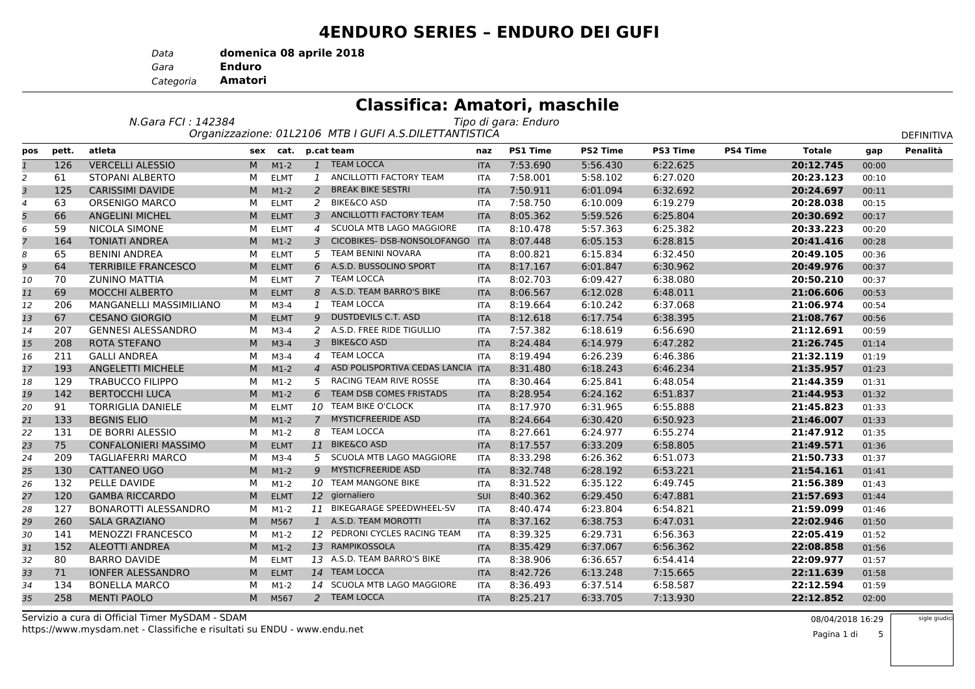#### **4ENDURO SERIES – ENDURO DEI GUFI**

*Data***domenica 08 aprile 2018**

*Gara* **Enduro**

 **Amatori** *Categoria*

|                |       |                             |     |             |                | <b>Classifica: Amatori, maschile</b>                   |            |                      |                 |                 |                 |               |       |                   |
|----------------|-------|-----------------------------|-----|-------------|----------------|--------------------------------------------------------|------------|----------------------|-----------------|-----------------|-----------------|---------------|-------|-------------------|
|                |       | N.Gara FCI: 142384          |     |             |                |                                                        |            | Tipo di gara: Enduro |                 |                 |                 |               |       |                   |
|                |       |                             |     |             |                | Organizzazione: 01L2106 MTB I GUFI A.S.DILETTANTISTICA |            |                      |                 |                 |                 |               |       | <b>DEFINITIVA</b> |
| pos            | pett. | atleta                      | sex | cat.        |                | p.cat team                                             | naz        | <b>PS1 Time</b>      | <b>PS2 Time</b> | <b>PS3 Time</b> | <b>PS4 Time</b> | <b>Totale</b> | gap   | Penalità          |
| $\mathbf{1}$   | 126   | <b>VERCELLI ALESSIO</b>     | M   | $M1-2$      |                | 1 TEAM LOCCA                                           | <b>ITA</b> | 7:53.690             | 5:56.430        | 6:22.625        |                 | 20:12.745     | 00:00 |                   |
| $\overline{2}$ | 61    | <b>STOPANI ALBERTO</b>      | м   | <b>ELMT</b> | $\mathbf{1}$   | ANCILLOTTI FACTORY TEAM                                | <b>ITA</b> | 7:58.001             | 5:58.102        | 6:27.020        |                 | 20:23.123     | 00:10 |                   |
| 3              | 125   | <b>CARISSIMI DAVIDE</b>     | M   | $M1-2$      | $\overline{2}$ | <b>BREAK BIKE SESTRI</b>                               | <b>ITA</b> | 7:50.911             | 6:01.094        | 6:32.692        |                 | 20:24.697     | 00:11 |                   |
| $\overline{4}$ | 63    | ORSENIGO MARCO              | м   | <b>ELMT</b> |                | 2 BIKE&CO ASD                                          | <b>ITA</b> | 7:58.750             | 6:10.009        | 6:19.279        |                 | 20:28.038     | 00:15 |                   |
| 5              | 66    | <b>ANGELINI MICHEL</b>      | M   | <b>ELMT</b> | $\mathbf{3}$   | ANCILLOTTI FACTORY TEAM                                | <b>ITA</b> | 8:05.362             | 5:59.526        | 6:25.804        |                 | 20:30.692     | 00:17 |                   |
| 6              | 59    | NICOLA SIMONE               | м   | <b>ELMT</b> | $\overline{a}$ | SCUOLA MTB LAGO MAGGIORE                               | <b>ITA</b> | 8:10.478             | 5:57.363        | 6:25.382        |                 | 20:33.223     | 00:20 |                   |
| $\overline{7}$ | 164   | <b>TONIATI ANDREA</b>       | M   | $M1-2$      |                | 3 CICOBIKES- DSB-NONSOLOFANGO                          | <b>ITA</b> | 8:07.448             | 6:05.153        | 6:28.815        |                 | 20:41.416     | 00:28 |                   |
| 8              | 65    | BENINI ANDREA               | м   | <b>ELMT</b> |                | 5 TEAM BENINI NOVARA                                   | <b>ITA</b> | 8:00.821             | 6:15.834        | 6:32.450        |                 | 20:49.105     | 00:36 |                   |
| 9              | 64    | <b>TERRIBILE FRANCESCO</b>  | M   | <b>ELMT</b> |                | 6 A.S.D. BUSSOLINO SPORT                               | <b>ITA</b> | 8:17.167             | 6:01.847        | 6:30.962        |                 | 20:49.976     | 00:37 |                   |
| 10             | 70    | <b>ZUNINO MATTIA</b>        | M   | <b>ELMT</b> |                | 7 TEAM LOCCA                                           | <b>ITA</b> | 8:02.703             | 6:09.427        | 6:38.080        |                 | 20:50.210     | 00:37 |                   |
| 11             | 69    | <b>MOCCHI ALBERTO</b>       | M   | <b>ELMT</b> |                | 8 A.S.D. TEAM BARRO'S BIKE                             | <b>ITA</b> | 8:06.567             | 6:12.028        | 6:48.011        |                 | 21:06.606     | 00:53 |                   |
| 12             | 206   | MANGANELLI MASSIMILIANO     | м   | $M3-4$      |                | 1 TEAM LOCCA                                           | <b>ITA</b> | 8:19.664             | 6:10.242        | 6:37.068        |                 | 21:06.974     | 00:54 |                   |
| 13             | 67    | <b>CESANO GIORGIO</b>       | M   | <b>ELMT</b> | 9              | DUSTDEVILS C.T. ASD                                    | <b>ITA</b> | 8:12.618             | 6:17.754        | 6:38.395        |                 | 21:08.767     | 00:56 |                   |
| 14             | 207   | <b>GENNESI ALESSANDRO</b>   | м   | $M3-4$      |                | 2 A.S.D. FREE RIDE TIGULLIO                            | <b>ITA</b> | 7:57.382             | 6:18.619        | 6:56.690        |                 | 21:12.691     | 00:59 |                   |
| 15             | 208   | ROTA STEFANO                | M   | $M3-4$      |                | 3 BIKE&CO ASD                                          | <b>ITA</b> | 8:24.484             | 6:14.979        | 6:47.282        |                 | 21:26.745     | 01:14 |                   |
| 16             | 211   | <b>GALLI ANDREA</b>         | м   | $M3-4$      |                | 4 TEAM LOCCA                                           | <b>ITA</b> | 8:19.494             | 6:26.239        | 6:46.386        |                 | 21:32.119     | 01:19 |                   |
| 17             | 193   | <b>ANGELETTI MICHELE</b>    | M   | $M1-2$      | $\overline{4}$ | ASD POLISPORTIVA CEDAS LANCIA                          | <b>ITA</b> | 8:31.480             | 6:18.243        | 6:46.234        |                 | 21:35.957     | 01:23 |                   |
| 18             | 129   | <b>TRABUCCO FILIPPO</b>     | м   | $M1-2$      |                | 5 RACING TEAM RIVE ROSSE                               | <b>ITA</b> | 8:30.464             | 6:25.841        | 6:48.054        |                 | 21:44.359     | 01:31 |                   |
| 19             | 142   | <b>BERTOCCHI LUCA</b>       | M   | $M1-2$      |                | 6 TEAM DSB COMES FRISTADS                              | <b>ITA</b> | 8:28.954             | 6:24.162        | 6:51.837        |                 | 21:44.953     | 01:32 |                   |
| 20             | 91    | <b>TORRIGLIA DANIELE</b>    | м   | <b>ELMT</b> |                | 10 TEAM BIKE O'CLOCK                                   | <b>ITA</b> | 8:17.970             | 6:31.965        | 6:55.888        |                 | 21:45.823     | 01:33 |                   |
| 21             | 133   | <b>BEGNIS ELIO</b>          | M   | $M1-2$      |                | 7 MYSTICFREERIDE ASD                                   | <b>ITA</b> | 8:24.664             | 6:30.420        | 6:50.923        |                 | 21:46.007     | 01:33 |                   |
| 22             | 131   | DE BORRI ALESSIO            | м   | $M1-2$      |                | 8 TEAM LOCCA                                           | <b>ITA</b> | 8:27.661             | 6:24.977        | 6:55.274        |                 | 21:47.912     | 01:35 |                   |
| 23             | 75    | <b>CONFALONIERI MASSIMO</b> | M   | <b>ELMT</b> |                | 11 BIKE&CO ASD                                         | <b>ITA</b> | 8:17.557             | 6:33.209        | 6:58.805        |                 | 21:49.571     | 01:36 |                   |
| 24             | 209   | <b>TAGLIAFERRI MARCO</b>    | м   | $M3-4$      | 5              | SCUOLA MTB LAGO MAGGIORE                               | <b>ITA</b> | 8:33.298             | 6:26.362        | 6:51.073        |                 | 21:50.733     | 01:37 |                   |
| 25             | 130   | <b>CATTANEO UGO</b>         | M   | $M1-2$      | 9              | <b>MYSTICFREERIDE ASD</b>                              | <b>ITA</b> | 8:32.748             | 6:28.192        | 6:53.221        |                 | 21:54.161     | 01:41 |                   |
| 26             | 132   | PELLE DAVIDE                | M   | $M1-2$      |                | 10 TEAM MANGONE BIKE                                   | <b>ITA</b> | 8:31.522             | 6:35.122        | 6:49.745        |                 | 21:56.389     | 01:43 |                   |
| 27             | 120   | <b>GAMBA RICCARDO</b>       | M   | <b>ELMT</b> |                | 12 giornaliero                                         | SUI        | 8:40.362             | 6:29.450        | 6:47.881        |                 | 21:57.693     | 01:44 |                   |
| 28             | 127   | <b>BONAROTTI ALESSANDRO</b> | м   | $M1-2$      |                | 11 BIKEGARAGE SPEEDWHEEL-SV                            | <b>ITA</b> | 8:40.474             | 6:23.804        | 6:54.821        |                 | 21:59.099     | 01:46 |                   |
| 29             | 260   | <b>SALA GRAZIANO</b>        | M   | M567        |                | 1 A.S.D. TEAM MOROTTI                                  | <b>ITA</b> | 8:37.162             | 6:38.753        | 6:47.031        |                 | 22:02.946     | 01:50 |                   |
| 30             | 141   | <b>MENOZZI FRANCESCO</b>    | м   | $M1-2$      |                | 12 PEDRONI CYCLES RACING TEAM                          | <b>ITA</b> | 8:39.325             | 6:29.731        | 6:56.363        |                 | 22:05.419     | 01:52 |                   |
| 31             | 152   | <b>ALEOTTI ANDREA</b>       | M   | $M1-2$      |                | 13 RAMPIKOSSOLA                                        | <b>ITA</b> | 8:35.429             | 6:37.067        | 6:56.362        |                 | 22:08.858     | 01:56 |                   |
| 32             | 80    | <b>BARRO DAVIDE</b>         | м   | <b>ELMT</b> |                | 13 A.S.D. TEAM BARRO'S BIKE                            | <b>ITA</b> | 8:38.906             | 6:36.657        | 6:54.414        |                 | 22:09.977     | 01:57 |                   |
| 33             | 71    | <b>IONFER ALESSANDRO</b>    | M   | <b>ELMT</b> |                | 14 TEAM LOCCA                                          | <b>ITA</b> | 8:42.726             | 6:13.248        | 7:15.665        |                 | 22:11.639     | 01:58 |                   |
| 34             | 134   | <b>BONELLA MARCO</b>        | м   | $M1-2$      |                | 14 SCUOLA MTB LAGO MAGGIORE                            | <b>ITA</b> | 8:36.493             | 6:37.514        | 6:58.587        |                 | 22:12.594     | 01:59 |                   |
| 35             | 258   | <b>MENTI PAOLO</b>          | M   | M567        |                | 2 TEAM LOCCA                                           | <b>ITA</b> | 8:25.217             | 6:33.705        | 7:13.930        |                 | 22:12.852     | 02:00 |                   |
|                |       |                             |     |             |                |                                                        |            |                      |                 |                 |                 |               |       |                   |

https://www.mysdam.net - Classifiche e risultati su ENDU - www.endu.netServizio a cura di Official Timer MySDAM - SDAM<br>https://www.mysdam.net...Classifiche.o.risultati.cu.ENDU...www.endu.net

sigle giudic

Pagina 1 di 5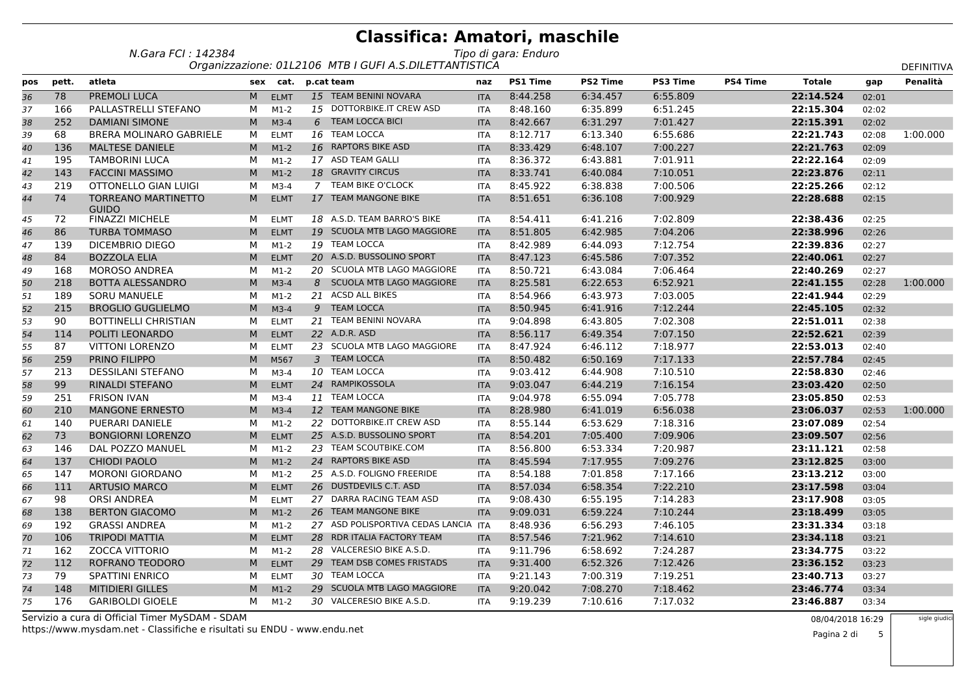| N.Gara FCI : 142384 | Tipo di gara: Enduro                                  |
|---------------------|-------------------------------------------------------|
|                     | Organizzazione: 011 2106 MTR LGUELA S DILETTANTISTICA |

|     |       |                                            |   |             |   | Organizzazione: 01L2106 MTB I GUFI A.S.DILETTANTISTICA |            |                 |                 |                 |                 |               |       | DEFINITIVA |
|-----|-------|--------------------------------------------|---|-------------|---|--------------------------------------------------------|------------|-----------------|-----------------|-----------------|-----------------|---------------|-------|------------|
| pos | pett. | atleta                                     |   | sex cat.    |   | p.cat team                                             | naz        | <b>PS1 Time</b> | <b>PS2 Time</b> | <b>PS3 Time</b> | <b>PS4 Time</b> | <b>Totale</b> | gap   | Penalità   |
| 36  | 78    | PREMOLI LUCA                               | M | <b>ELMT</b> |   | 15 TEAM BENINI NOVARA                                  | <b>ITA</b> | 8:44.258        | 6:34.457        | 6:55.809        |                 | 22:14.524     | 02:01 |            |
| 37  | 166   | PALLASTRELLI STEFANO                       | M | $M1-2$      |   | 15 DOTTORBIKE.IT CREW ASD                              | <b>ITA</b> | 8:48.160        | 6:35.899        | 6:51.245        |                 | 22:15.304     | 02:02 |            |
| 38  | 252   | <b>DAMIANI SIMONE</b>                      | M | $M3-4$      | 6 | <b>TEAM LOCCA BICI</b>                                 | <b>ITA</b> | 8:42.667        | 6:31.297        | 7:01.427        |                 | 22:15.391     | 02:02 |            |
| 39  | 68    | <b>BRERA MOLINARO GABRIELE</b>             | м | <b>ELMT</b> |   | 16 TEAM LOCCA                                          | <b>ITA</b> | 8:12.717        | 6:13.340        | 6:55.686        |                 | 22:21.743     | 02:08 | 1:00.000   |
| 40  | 136   | <b>MALTESE DANIELE</b>                     | M | $M1-2$      |   | 16 RAPTORS BIKE ASD                                    | <b>ITA</b> | 8:33.429        | 6:48.107        | 7:00.227        |                 | 22:21.763     | 02:09 |            |
| 41  | 195   | <b>TAMBORINI LUCA</b>                      | м | $M1-2$      |   | 17 ASD TEAM GALLI                                      | <b>ITA</b> | 8:36.372        | 6:43.881        | 7:01.911        |                 | 22:22.164     | 02:09 |            |
| 42  | 143   | <b>FACCINI MASSIMO</b>                     | M | $M1-2$      |   | 18 GRAVITY CIRCUS                                      | <b>ITA</b> | 8:33.741        | 6:40.084        | 7:10.051        |                 | 22:23.876     | 02:11 |            |
| 43  | 219   | OTTONELLO GIAN LUIGI                       | м | $M3-4$      |   | 7 TEAM BIKE O'CLOCK                                    | <b>ITA</b> | 8:45.922        | 6:38.838        | 7:00.506        |                 | 22:25.266     | 02:12 |            |
| 44  | 74    | <b>TORREANO MARTINETTO</b><br><b>GUIDO</b> | M | <b>ELMT</b> |   | 17 TEAM MANGONE BIKE                                   | <b>ITA</b> | 8:51.651        | 6:36.108        | 7:00.929        |                 | 22:28.688     | 02:15 |            |
| 45  | 72    | <b>FINAZZI MICHELE</b>                     | М | <b>ELMT</b> |   | 18 A.S.D. TEAM BARRO'S BIKE                            | <b>ITA</b> | 8:54.411        | 6:41.216        | 7:02.809        |                 | 22:38.436     | 02:25 |            |
| 46  | 86    | <b>TURBA TOMMASO</b>                       | M | <b>ELMT</b> |   | 19 SCUOLA MTB LAGO MAGGIORE                            | <b>ITA</b> | 8:51.805        | 6:42.985        | 7:04.206        |                 | 22:38.996     | 02:26 |            |
| 47  | 139   | DICEMBRIO DIEGO                            | М | $M1-2$      |   | 19 TEAM LOCCA                                          | <b>ITA</b> | 8:42.989        | 6:44.093        | 7:12.754        |                 | 22:39.836     | 02:27 |            |
| 48  | 84    | <b>BOZZOLA ELIA</b>                        | M | <b>ELMT</b> |   | 20 A.S.D. BUSSOLINO SPORT                              | <b>ITA</b> | 8:47.123        | 6:45.586        | 7:07.352        |                 | 22:40.061     | 02:27 |            |
| 49  | 168   | <b>MOROSO ANDREA</b>                       | M | $M1-2$      |   | 20 SCUOLA MTB LAGO MAGGIORE                            | <b>ITA</b> | 8:50.721        | 6:43.084        | 7:06.464        |                 | 22:40.269     | 02:27 |            |
| 50  | 218   | <b>BOTTA ALESSANDRO</b>                    | M | $M3-4$      |   | 8 SCUOLA MTB LAGO MAGGIORE                             | <b>ITA</b> | 8:25.581        | 6:22.653        | 6:52.921        |                 | 22:41.155     | 02:28 | 1:00.000   |
| 51  | 189   | <b>SORU MANUELE</b>                        | м | $M1-2$      |   | 21 ACSD ALL BIKES                                      | <b>ITA</b> | 8:54.966        | 6:43.973        | 7:03.005        |                 | 22:41.944     | 02:29 |            |
| 52  | 215   | <b>BROGLIO GUGLIELMO</b>                   | M | $M3-4$      |   | 9 TEAM LOCCA                                           | <b>ITA</b> | 8:50.945        | 6:41.916        | 7:12.244        |                 | 22:45.105     | 02:32 |            |
| 53  | 90    | <b>BOTTINELLI CHRISTIAN</b>                | М | <b>ELMT</b> |   | 21 TEAM BENINI NOVARA                                  | <b>ITA</b> | 9:04.898        | 6:43.805        | 7:02.308        |                 | 22:51.011     | 02:38 |            |
| 54  | 114   | POLITI LEONARDO                            | M | <b>ELMT</b> |   | 22 A.D.R. ASD                                          | <b>ITA</b> | 8:56.117        | 6:49.354        | 7:07.150        |                 | 22:52.621     | 02:39 |            |
| 55  | 87    | <b>VITTONI LORENZO</b>                     | М | <b>ELMT</b> |   | 23 SCUOLA MTB LAGO MAGGIORE                            | <b>ITA</b> | 8:47.924        | 6:46.112        | 7:18.977        |                 | 22:53.013     | 02:40 |            |
| 56  | 259   | PRINO FILIPPO                              | M | M567        |   | 3 TEAM LOCCA                                           | <b>ITA</b> | 8:50.482        | 6:50.169        | 7:17.133        |                 | 22:57.784     | 02:45 |            |
| 57  | 213   | <b>DESSILANI STEFANO</b>                   | М | $M3-4$      |   | 10 TEAM LOCCA                                          | <b>ITA</b> | 9:03.412        | 6:44.908        | 7:10.510        |                 | 22:58.830     | 02:46 |            |
| 58  | 99    | <b>RINALDI STEFANO</b>                     | M | <b>ELMT</b> |   | 24 RAMPIKOSSOLA                                        | <b>ITA</b> | 9:03.047        | 6:44.219        | 7:16.154        |                 | 23:03.420     | 02:50 |            |
| 59  | 251   | <b>FRISON IVAN</b>                         | М | $M3-4$      |   | 11 TEAM LOCCA                                          | <b>ITA</b> | 9:04.978        | 6:55.094        | 7:05.778        |                 | 23:05.850     | 02:53 |            |
| 60  | 210   | <b>MANGONE ERNESTO</b>                     | M | $M3-4$      |   | 12 TEAM MANGONE BIKE                                   | <b>ITA</b> | 8:28.980        | 6:41.019        | 6:56.038        |                 | 23:06.037     | 02:53 | 1:00.000   |
| 61  | 140   | PUERARI DANIELE                            | М | $M1-2$      |   | 22 DOTTORBIKE.IT CREW ASD                              | <b>ITA</b> | 8:55.144        | 6:53.629        | 7:18.316        |                 | 23:07.089     | 02:54 |            |
| 62  | 73    | <b>BONGIORNI LORENZO</b>                   | M | <b>ELMT</b> |   | 25 A.S.D. BUSSOLINO SPORT                              | <b>ITA</b> | 8:54.201        | 7:05.400        | 7:09.906        |                 | 23:09.507     | 02:56 |            |
| 63  | 146   | DAL POZZO MANUEL                           | М | $M1-2$      |   | 23 TEAM SCOUTBIKE.COM                                  | <b>ITA</b> | 8:56.800        | 6:53.334        | 7:20.987        |                 | 23:11.121     | 02:58 |            |
| 64  | 137   | <b>CHIODI PAOLO</b>                        | M | $M1-2$      |   | 24 RAPTORS BIKE ASD                                    | <b>ITA</b> | 8:45.594        | 7:17.955        | 7:09.276        |                 | 23:12.825     | 03:00 |            |
| 65  | 147   | <b>MORONI GIORDANO</b>                     | М | $M1-2$      |   | 25 A.S.D. FOLIGNO FREERIDE                             | <b>ITA</b> | 8:54.188        | 7:01.858        | 7:17.166        |                 | 23:13.212     | 03:00 |            |
| 66  | 111   | <b>ARTUSIO MARCO</b>                       | M | <b>ELMT</b> |   | 26 DUSTDEVILS C.T. ASD                                 | <b>ITA</b> | 8:57.034        | 6:58.354        | 7:22.210        |                 | 23:17.598     | 03:04 |            |
| 67  | 98    | <b>ORSI ANDREA</b>                         | М | <b>ELMT</b> |   | 27 DARRA RACING TEAM ASD                               | <b>ITA</b> | 9:08.430        | 6:55.195        | 7:14.283        |                 | 23:17.908     | 03:05 |            |
| 68  | 138   | <b>BERTON GIACOMO</b>                      | M | $M1-2$      |   | 26 TEAM MANGONE BIKE                                   | <b>ITA</b> | 9:09.031        | 6:59.224        | 7:10.244        |                 | 23:18.499     | 03:05 |            |
| 69  | 192   | <b>GRASSI ANDREA</b>                       | М | $M1-2$      |   | 27 ASD POLISPORTIVA CEDAS LANCIA ITA                   |            | 8:48.936        | 6:56.293        | 7:46.105        |                 | 23:31.334     | 03:18 |            |
| 70  | 106   | <b>TRIPODI MATTIA</b>                      | M | <b>ELMT</b> |   | 28 RDR ITALIA FACTORY TEAM                             | <b>ITA</b> | 8:57.546        | 7:21.962        | 7:14.610        |                 | 23:34.118     | 03:21 |            |
| 71  | 162   | <b>ZOCCA VITTORIO</b>                      | М | $M1-2$      |   | 28 VALCERESIO BIKE A.S.D.                              | <b>ITA</b> | 9:11.796        | 6:58.692        | 7:24.287        |                 | 23:34.775     | 03:22 |            |
| 72  | 112   | ROFRANO TEODORO                            | M | <b>ELMT</b> |   | 29 TEAM DSB COMES FRISTADS                             | <b>ITA</b> | 9:31.400        | 6:52.326        | 7:12.426        |                 | 23:36.152     | 03:23 |            |
| 73  | 79    | <b>SPATTINI ENRICO</b>                     | М | <b>ELMT</b> |   | 30 TEAM LOCCA                                          | <b>ITA</b> | 9:21.143        | 7:00.319        | 7:19.251        |                 | 23:40.713     | 03:27 |            |
| 74  | 148   | <b>MITIDIERI GILLES</b>                    | M | $M1-2$      |   | 29 SCUOLA MTB LAGO MAGGIORE                            | <b>ITA</b> | 9:20.042        | 7:08.270        | 7:18.462        |                 | 23:46.774     | 03:34 |            |
| 75  | 176   | <b>GARIBOLDI GIOELE</b>                    | м | $M1-2$      |   | 30 VALCERESIO BIKE A.S.D.                              | <b>ITA</b> | 9:19.239        | 7:10.616        | 7:17.032        |                 | 23:46.887     | 03:34 |            |

https://www.mysdam.net - Classifiche e risultati su ENDU - www.endu.netServizio a cura di Official Timer MySDAM - SDAM<br>https://www.mysdam.net...Classifiche.o.risultati.cu.ENDU...www.endu.net

sigle giudici

Pagina 2 di5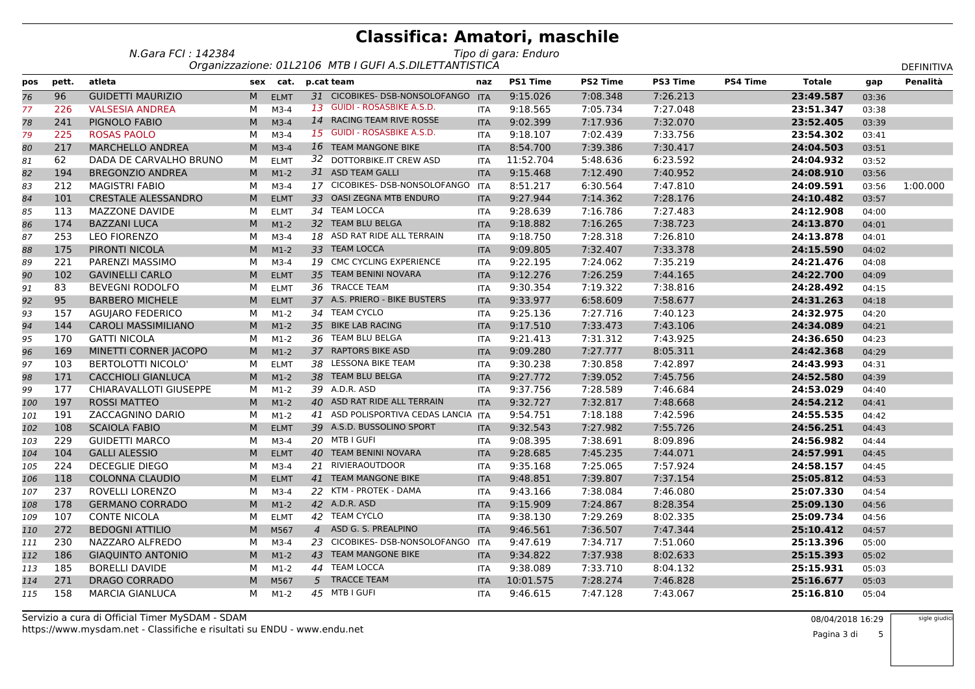*N.Gara FCI : 142384Tipo di gara: Enduro*

|     |       |                            |   |             | Organizzazione: 01L2106 MTB I GUFI A.S.DILETTANTISTICA |            |                 |                 |                 |                 |               |       | <b>DEFINITIVA</b> |
|-----|-------|----------------------------|---|-------------|--------------------------------------------------------|------------|-----------------|-----------------|-----------------|-----------------|---------------|-------|-------------------|
| pos | pett. | atleta                     |   | sex cat.    | p.cat team                                             | naz        | <b>PS1 Time</b> | <b>PS2 Time</b> | <b>PS3 Time</b> | <b>PS4 Time</b> | <b>Totale</b> | gap   | Penalità          |
| 76  | 96    | <b>GUIDETTI MAURIZIO</b>   | M | <b>ELMT</b> | 31 CICOBIKES- DSB-NONSOLOFANGO                         | <b>ITA</b> | 9:15.026        | 7:08.348        | 7:26.213        |                 | 23:49.587     | 03:36 |                   |
| 77  | 226   | <b>VALSESIA ANDREA</b>     | М | $M3-4$      | 13 GUIDI - ROSASBIKE A.S.D.                            | <b>ITA</b> | 9:18.565        | 7:05.734        | 7:27.048        |                 | 23:51.347     | 03:38 |                   |
| 78  | 241   | PIGNOLO FABIO              | M | $M3-4$      | 14 RACING TEAM RIVE ROSSE                              | <b>ITA</b> | 9:02.399        | 7:17.936        | 7:32.070        |                 | 23:52.405     | 03:39 |                   |
| 79  | 225   | <b>ROSAS PAOLO</b>         | M | $M3-4$      | 15 GUIDI - ROSASBIKE A.S.D.                            | <b>ITA</b> | 9:18.107        | 7:02.439        | 7:33.756        |                 | 23:54.302     | 03:41 |                   |
| 80  | 217   | <b>MARCHELLO ANDREA</b>    | M | $M3-4$      | 16 TEAM MANGONE BIKE                                   | <b>ITA</b> | 8:54.700        | 7:39.386        | 7:30.417        |                 | 24:04.503     | 03:51 |                   |
| 81  | 62    | DADA DE CARVALHO BRUNO     | М | <b>ELMT</b> | 32 DOTTORBIKE.IT CREW ASD                              | <b>ITA</b> | 11:52.704       | 5:48.636        | 6:23.592        |                 | 24:04.932     | 03:52 |                   |
| 82  | 194   | <b>BREGONZIO ANDREA</b>    | M | $M1-2$      | 31 ASD TEAM GALLI                                      | <b>ITA</b> | 9:15.468        | 7:12.490        | 7:40.952        |                 | 24:08.910     | 03:56 |                   |
| 83  | 212   | <b>MAGISTRI FABIO</b>      | М | $M3-4$      | 17 CICOBIKES- DSB-NONSOLOFANGO                         | <b>ITA</b> | 8:51.217        | 6:30.564        | 7:47.810        |                 | 24:09.591     | 03:56 | 1:00.000          |
| 84  | 101   | <b>CRESTALE ALESSANDRO</b> | M | <b>ELMT</b> | 33 OASI ZEGNA MTB ENDURO                               | <b>ITA</b> | 9:27.944        | 7:14.362        | 7:28.176        |                 | 24:10.482     | 03:57 |                   |
| 85  | 113   | <b>MAZZONE DAVIDE</b>      | М | <b>ELMT</b> | 34 TEAM LOCCA                                          | <b>ITA</b> | 9:28.639        | 7:16.786        | 7:27.483        |                 | 24:12.908     | 04:00 |                   |
| 86  | 174   | <b>BAZZANI LUCA</b>        | M | $M1-2$      | 32 TEAM BLU BELGA                                      | <b>ITA</b> | 9:18.882        | 7:16.265        | 7:38.723        |                 | 24:13.870     | 04:01 |                   |
| 87  | 253   | <b>LEO FIORENZO</b>        | м | $M3-4$      | 18 ASD RAT RIDE ALL TERRAIN                            | ITA        | 9:18.750        | 7:28.318        | 7:26.810        |                 | 24:13.878     | 04:01 |                   |
| 88  | 175   | PIRONTI NICOLA             | M | $M1-2$      | 33 TEAM LOCCA                                          | <b>ITA</b> | 9:09.805        | 7:32.407        | 7:33.378        |                 | 24:15.590     | 04:02 |                   |
| 89  | 221   | PARENZI MASSIMO            | M | $M3-4$      | 19 CMC CYCLING EXPERIENCE                              | <b>ITA</b> | 9:22.195        | 7:24.062        | 7:35.219        |                 | 24:21.476     | 04:08 |                   |
| 90  | 102   | <b>GAVINELLI CARLO</b>     | M | <b>ELMT</b> | 35 TEAM BENINI NOVARA                                  | <b>ITA</b> | 9:12.276        | 7:26.259        | 7:44.165        |                 | 24:22.700     | 04:09 |                   |
| 91  | 83    | <b>BEVEGNI RODOLFO</b>     | м | <b>ELMT</b> | 36 TRACCE TEAM                                         | <b>ITA</b> | 9:30.354        | 7:19.322        | 7:38.816        |                 | 24:28.492     | 04:15 |                   |
| 92  | 95    | <b>BARBERO MICHELE</b>     | M | <b>ELMT</b> | 37 A.S. PRIERO - BIKE BUSTERS                          | <b>ITA</b> | 9:33.977        | 6:58.609        | 7:58.677        |                 | 24:31.263     | 04:18 |                   |
| 93  | 157   | <b>AGUIARO FEDERICO</b>    | м | $M1-2$      | 34 TEAM CYCLO                                          | <b>ITA</b> | 9:25.136        | 7:27.716        | 7:40.123        |                 | 24:32.975     | 04:20 |                   |
| 94  | 144   | <b>CAROLI MASSIMILIANO</b> | M | $M1-2$      | 35 BIKE LAB RACING                                     | <b>ITA</b> | 9:17.510        | 7:33.473        | 7:43.106        |                 | 24:34.089     | 04:21 |                   |
| 95  | 170   | <b>GATTI NICOLA</b>        | м | $M1-2$      | 36 TEAM BLU BELGA                                      | ITA        | 9:21.413        | 7:31.312        | 7:43.925        |                 | 24:36.650     | 04:23 |                   |
| 96  | 169   | MINETTI CORNER JACOPO      | M | $M1-2$      | 37 RAPTORS BIKE ASD                                    | <b>ITA</b> | 9:09.280        | 7:27.777        | 8:05.311        |                 | 24:42.368     | 04:29 |                   |
| 97  | 103   | <b>BERTOLOTTI NICOLO'</b>  | м | <b>ELMT</b> | 38 LESSONA BIKE TEAM                                   | <b>ITA</b> | 9:30.238        | 7:30.858        | 7:42.897        |                 | 24:43.993     | 04:31 |                   |
| 98  | 171   | <b>CACCHIOLI GIANLUCA</b>  | M | $M1-2$      | 38 TEAM BLU BELGA                                      | <b>ITA</b> | 9:27.772        | 7:39.052        | 7:45.756        |                 | 24:52.580     | 04:39 |                   |
| 99  | 177   | CHIARAVALLOTI GIUSEPPE     | м | $M1-2$      | 39 A.D.R. ASD                                          | <b>ITA</b> | 9:37.756        | 7:28.589        | 7:46.684        |                 | 24:53.029     | 04:40 |                   |
| 100 | 197   | <b>ROSSI MATTEO</b>        | M | $M1-2$      | 40 ASD RAT RIDE ALL TERRAIN                            | <b>ITA</b> | 9:32.727        | 7:32.817        | 7:48.668        |                 | 24:54.212     | 04:41 |                   |
| 101 | 191   | ZACCAGNINO DARIO           | м | $M1-2$      | 41 ASD POLISPORTIVA CEDAS LANCIA ITA                   |            | 9:54.751        | 7:18.188        | 7:42.596        |                 | 24:55.535     | 04:42 |                   |
| 102 | 108   | <b>SCAIOLA FABIO</b>       | M | <b>ELMT</b> | 39 A.S.D. BUSSOLINO SPORT                              | <b>ITA</b> | 9:32.543        | 7:27.982        | 7:55.726        |                 | 24:56.251     | 04:43 |                   |
| 103 | 229   | <b>GUIDETTI MARCO</b>      | М | $M3-4$      | 20 MTB I GUFI                                          | <b>ITA</b> | 9:08.395        | 7:38.691        | 8:09.896        |                 | 24:56.982     | 04:44 |                   |
| 104 | 104   | <b>GALLI ALESSIO</b>       | M | <b>ELMT</b> | 40 TEAM BENINI NOVARA                                  | <b>ITA</b> | 9:28.685        | 7:45.235        | 7:44.071        |                 | 24:57.991     | 04:45 |                   |
| 105 | 224   | <b>DECEGLIE DIEGO</b>      | М | $M3-4$      | 21 RIVIERAOUTDOOR                                      | ITA        | 9:35.168        | 7:25.065        | 7:57.924        |                 | 24:58.157     | 04:45 |                   |
| 106 | 118   | <b>COLONNA CLAUDIO</b>     | M | <b>ELMT</b> | 41 TEAM MANGONE BIKE                                   | <b>ITA</b> | 9:48.851        | 7:39.807        | 7:37.154        |                 | 25:05.812     | 04:53 |                   |
| 107 | 237   | ROVELLI LORENZO            | м | $M3-4$      | 22 KTM - PROTEK - DAMA                                 | <b>ITA</b> | 9:43.166        | 7:38.084        | 7:46.080        |                 | 25:07.330     | 04:54 |                   |
| 108 | 178   | <b>GERMANO CORRADO</b>     | М | $M1-2$      | 42 A.D.R. ASD                                          | <b>ITA</b> | 9:15.909        | 7:24.867        | 8:28.354        |                 | 25:09.130     | 04:56 |                   |
| 109 | 107   | <b>CONTE NICOLA</b>        | М | <b>ELMT</b> | 42 TEAM CYCLO                                          | ITA        | 9:38.130        | 7:29.269        | 8:02.335        |                 | 25:09.734     | 04:56 |                   |
| 110 | 272   | <b>BEDOGNI ATTILIO</b>     | M | M567        | 4 ASD G. S. PREALPINO                                  | <b>ITA</b> | 9:46.561        | 7:36.507        | 7:47.344        |                 | 25:10.412     | 04:57 |                   |
| 111 | 230   | NAZZARO ALFREDO            | М | $M3-4$      | 23 CICOBIKES- DSB-NONSOLOFANGO                         | <b>ITA</b> | 9:47.619        | 7:34.717        | 7:51.060        |                 | 25:13.396     | 05:00 |                   |
| 112 | 186   | <b>GIAQUINTO ANTONIO</b>   | M | $M1-2$      | 43 TEAM MANGONE BIKE                                   | <b>ITA</b> | 9:34.822        | 7:37.938        | 8:02.633        |                 | 25:15.393     | 05:02 |                   |
| 113 | 185   | <b>BORELLI DAVIDE</b>      | М | $M1-2$      | 44 TEAM LOCCA                                          | <b>ITA</b> | 9:38.089        | 7:33.710        | 8:04.132        |                 | 25:15.931     | 05:03 |                   |
| 114 | 271   | DRAGO CORRADO              | M | M567        | 5 TRACCE TEAM                                          | <b>ITA</b> | 10:01.575       | 7:28.274        | 7:46.828        |                 | 25:16.677     | 05:03 |                   |
| 115 | 158   | MARCIA GIANLUCA            | М | $M1-2$      | 45 MTB I GUFI                                          | ITA        | 9:46.615        | 7:47.128        | 7:43.067        |                 | 25:16.810     | 05:04 |                   |

https://www.mysdam.net - Classifiche e risultati su ENDU - www.endu.netServizio a cura di Official Timer MySDAM - SDAM<br>https://www.mysdam.net...Classifiche.o.risultati.cu.ENDU...www.endu.net

Pagina 3 di 5sigle giudic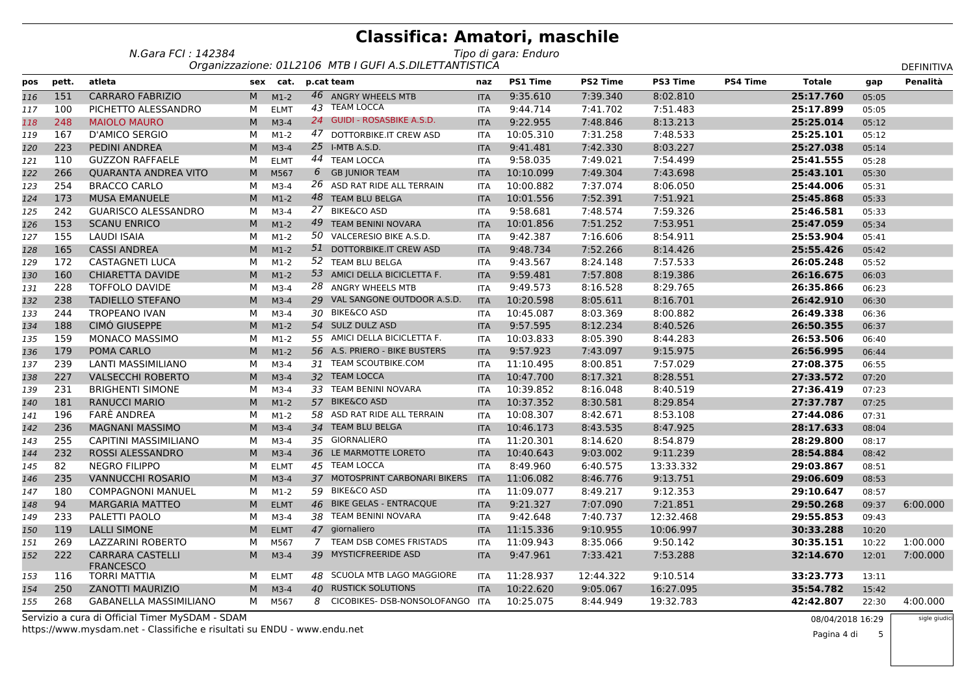| N.Gara FCI : 142384 | Tipo di gara: Enduro                                  |
|---------------------|-------------------------------------------------------|
|                     | Organizzazione: 011 2106 MTB LGUELA S DILETTANTISTICA |

|     |       |                                             |   |             |            | Organizzazione: 01L2106 MTB I GUFI A.S.DILETTANTISTICA |            |                 |                 |                 |                 |               |       | DEFINITIVA |
|-----|-------|---------------------------------------------|---|-------------|------------|--------------------------------------------------------|------------|-----------------|-----------------|-----------------|-----------------|---------------|-------|------------|
| pos | pett. | atleta                                      |   | sex cat.    | p.cat team |                                                        | naz        | <b>PS1 Time</b> | <b>PS2 Time</b> | <b>PS3 Time</b> | <b>PS4 Time</b> | <b>Totale</b> | gap   | Penalità   |
| 116 | 151   | <b>CARRARO FABRIZIO</b>                     | M | $M1-2$      |            | 46 ANGRY WHEELS MTB                                    | <b>ITA</b> | 9:35.610        | 7:39.340        | 8:02.810        |                 | 25:17.760     | 05:05 |            |
| 117 | 100   | PICHETTO ALESSANDRO                         | M | <b>ELMT</b> |            | 43 TEAM LOCCA                                          | <b>ITA</b> | 9:44.714        | 7:41.702        | 7:51.483        |                 | 25:17.899     | 05:05 |            |
| 118 | 248   | <b>MAIOLO MAURO</b>                         | M | $M3-4$      |            | 24 GUIDI - ROSASBIKE A.S.D.                            | <b>ITA</b> | 9:22.955        | 7:48.846        | 8:13.213        |                 | 25:25.014     | 05:12 |            |
| 119 | 167   | <b>D'AMICO SERGIO</b>                       | M | $M1-2$      | 47         | DOTTORBIKE.IT CREW ASD                                 | <b>ITA</b> | 10:05.310       | 7:31.258        | 7:48.533        |                 | 25:25.101     | 05:12 |            |
| 120 | 223   | PEDINI ANDREA                               | M | $M3-4$      |            | 25 I-MTB A.S.D.                                        | <b>ITA</b> | 9:41.481        | 7:42.330        | 8:03.227        |                 | 25:27.038     | 05:14 |            |
| 121 | 110   | <b>GUZZON RAFFAELE</b>                      | м | <b>ELMT</b> |            | 44 TEAM LOCCA                                          | <b>ITA</b> | 9:58.035        | 7:49.021        | 7:54.499        |                 | 25:41.555     | 05:28 |            |
| 122 | 266   | <b>QUARANTA ANDREA VITO</b>                 | M | M567        | 6          | <b>GB JUNIOR TEAM</b>                                  | <b>ITA</b> | 10:10.099       | 7:49.304        | 7:43.698        |                 | 25:43.101     | 05:30 |            |
| 123 | 254   | <b>BRACCO CARLO</b>                         | M | $M3-4$      |            | 26 ASD RAT RIDE ALL TERRAIN                            | <b>ITA</b> | 10:00.882       | 7:37.074        | 8:06.050        |                 | 25:44.006     | 05:31 |            |
| 124 | 173   | <b>MUSA EMANUELE</b>                        | M | $M1-2$      |            | 48 TEAM BLU BELGA                                      | <b>ITA</b> | 10:01.556       | 7:52.391        | 7:51.921        |                 | 25:45.868     | 05:33 |            |
| 125 | 242   | <b>GUARISCO ALESSANDRO</b>                  | M | $M3-4$      | 27         | <b>BIKE&amp;CO ASD</b>                                 | <b>ITA</b> | 9:58.681        | 7:48.574        | 7:59.326        |                 | 25:46.581     | 05:33 |            |
| 126 | 153   | <b>SCANU ENRICO</b>                         | M | $M1-2$      | 49         | <b>TEAM BENINI NOVARA</b>                              | <b>ITA</b> | 10:01.856       | 7:51.252        | 7:53.951        |                 | 25:47.059     | 05:34 |            |
| 127 | 155   | <b>LAUDI ISAIA</b>                          | м | $M1-2$      |            | 50 VALCERESIO BIKE A.S.D.                              | <b>ITA</b> | 9:42.387        | 7:16.606        | 8:54.911        |                 | 25:53.904     | 05:41 |            |
| 128 | 165   | <b>CASSI ANDREA</b>                         | M | $M1-2$      |            | 51 DOTTORBIKE.IT CREW ASD                              | <b>ITA</b> | 9:48.734        | 7:52.266        | 8:14.426        |                 | 25:55.426     | 05:42 |            |
| 129 | 172   | <b>CASTAGNETI LUCA</b>                      | M | $M1-2$      |            | 52 TEAM BLU BELGA                                      | <b>ITA</b> | 9:43.567        | 8:24.148        | 7:57.533        |                 | 26:05.248     | 05:52 |            |
| 130 | 160   | <b>CHIARETTA DAVIDE</b>                     | M | $M1-2$      |            | 53 AMICI DELLA BICICLETTA F.                           | <b>ITA</b> | 9:59.481        | 7:57.808        | 8:19.386        |                 | 26:16.675     | 06:03 |            |
| 131 | 228   | <b>TOFFOLO DAVIDE</b>                       | M | $M3-4$      |            | 28 ANGRY WHEELS MTB                                    | <b>ITA</b> | 9:49.573        | 8:16.528        | 8:29.765        |                 | 26:35.866     | 06:23 |            |
| 132 | 238   | <b>TADIELLO STEFANO</b>                     | M | $M3-4$      |            | 29 VAL SANGONE OUTDOOR A.S.D.                          | <b>ITA</b> | 10:20.598       | 8:05.611        | 8:16.701        |                 | 26:42.910     | 06:30 |            |
| 133 | 244   | <b>TROPEANO IVAN</b>                        | м | $M3-4$      |            | 30 BIKE&CO ASD                                         | <b>ITA</b> | 10:45.087       | 8:03.369        | 8:00.882        |                 | 26:49.338     | 06:36 |            |
| 134 | 188   | CIMÓ GIUSEPPE                               | M | $M1-2$      |            | 54 SULZ DULZ ASD                                       | <b>ITA</b> | 9:57.595        | 8:12.234        | 8:40.526        |                 | 26:50.355     | 06:37 |            |
| 135 | 159   | <b>MONACO MASSIMO</b>                       | M | $M1-2$      |            | 55 AMICI DELLA BICICLETTA F.                           | <b>ITA</b> | 10:03.833       | 8:05.390        | 8:44.283        |                 | 26:53.506     | 06:40 |            |
| 136 | 179   | POMA CARLO                                  | M | $M1-2$      |            | 56 A.S. PRIERO - BIKE BUSTERS                          | <b>ITA</b> | 9:57.923        | 7:43.097        | 9:15.975        |                 | 26:56.995     | 06:44 |            |
| 137 | 239   | <b>LANTI MASSIMILIANO</b>                   | М | $M3-4$      |            | 31 TEAM SCOUTBIKE.COM                                  | <b>ITA</b> | 11:10.495       | 8:00.851        | 7:57.029        |                 | 27:08.375     | 06:55 |            |
| 138 | 227   | <b>VALSECCHI ROBERTO</b>                    | M | $M3-4$      |            | 32 TEAM LOCCA                                          | <b>ITA</b> | 10:47.700       | 8:17.321        | 8:28.551        |                 | 27:33.572     | 07:20 |            |
| 139 | 231   | <b>BRIGHENTI SIMONE</b>                     | M | $M3-4$      |            | 33 TEAM BENINI NOVARA                                  | <b>ITA</b> | 10:39.852       | 8:16.048        | 8:40.519        |                 | 27:36.419     | 07:23 |            |
| 140 | 181   | <b>RANUCCI MARIO</b>                        | M | $M1-2$      |            | 57 BIKE&CO ASD                                         | <b>ITA</b> | 10:37.352       | 8:30.581        | 8:29.854        |                 | 27:37.787     | 07:25 |            |
| 141 | 196   | <b>FARÈ ANDREA</b>                          | M | $M1-2$      |            | 58 ASD RAT RIDE ALL TERRAIN                            | <b>ITA</b> | 10:08.307       | 8:42.671        | 8:53.108        |                 | 27:44.086     | 07:31 |            |
| 142 | 236   | <b>MAGNANI MASSIMO</b>                      | M | $M3-4$      |            | 34 TEAM BLU BELGA                                      | <b>ITA</b> | 10:46.173       | 8:43.535        | 8:47.925        |                 | 28:17.633     | 08:04 |            |
| 143 | 255   | <b>CAPITINI MASSIMILIANO</b>                | м | $M3-4$      |            | 35 GIORNALIERO                                         | <b>ITA</b> | 11:20.301       | 8:14.620        | 8:54.879        |                 | 28:29.800     | 08:17 |            |
| 144 | 232   | <b>ROSSI ALESSANDRO</b>                     | M | $M3-4$      |            | 36 LE MARMOTTE LORETO                                  | <b>ITA</b> | 10:40.643       | 9:03.002        | 9:11.239        |                 | 28:54.884     | 08:42 |            |
| 145 | 82    | <b>NEGRO FILIPPO</b>                        | M | <b>ELMT</b> |            | 45 TEAM LOCCA                                          | <b>ITA</b> | 8:49.960        | 6:40.575        | 13:33.332       |                 | 29:03.867     | 08:51 |            |
| 146 | 235   | <b>VANNUCCHI ROSARIO</b>                    | M | $M3-4$      |            | 37 MOTOSPRINT CARBONARI BIKERS                         | <b>ITA</b> | 11:06.082       | 8:46.776        | 9:13.751        |                 | 29:06.609     | 08:53 |            |
| 147 | 180   | <b>COMPAGNONI MANUEL</b>                    | М | $M1-2$      |            | 59 BIKE&CO ASD                                         | <b>ITA</b> | 11:09.077       | 8:49.217        | 9:12.353        |                 | 29:10.647     | 08:57 |            |
| 148 | 94    | <b>MARGARIA MATTEO</b>                      | M | <b>ELMT</b> |            | 46 BIKE GELAS - ENTRACQUE                              | <b>ITA</b> | 9:21.327        | 7:07.090        | 7:21.851        |                 | 29:50.268     | 09:37 | 6:00.000   |
| 149 | 233   | PALETTI PAOLO                               | м | $M3-4$      |            | 38 TEAM BENINI NOVARA                                  | <b>ITA</b> | 9:42.648        | 7:40.737        | 12:32.468       |                 | 29:55.853     | 09:43 |            |
| 150 | 119   | <b>LALLI SIMONE</b>                         | M | <b>ELMT</b> |            | 47 giornaliero                                         | <b>ITA</b> | 11:15.336       | 9:10.955        | 10:06.997       |                 | 30:33.288     | 10:20 |            |
| 151 | 269   | <b>LAZZARINI ROBERTO</b>                    | м | M567        |            | 7 TEAM DSB COMES FRISTADS                              | <b>ITA</b> | 11:09.943       | 8:35.066        | 9:50.142        |                 | 30:35.151     | 10:22 | 1:00.000   |
| 152 | 222   | <b>CARRARA CASTELLI</b><br><b>FRANCESCO</b> | M | $M3-4$      |            | 39 MYSTICFREERIDE ASD                                  | <b>ITA</b> | 9:47.961        | 7:33.421        | 7:53.288        |                 | 32:14.670     | 12:01 | 7:00.000   |
| 153 | 116   | <b>TORRI MATTIA</b>                         | M | <b>ELMT</b> |            | 48 SCUOLA MTB LAGO MAGGIORE                            | <b>ITA</b> | 11:28.937       | 12:44.322       | 9:10.514        |                 | 33:23.773     | 13:11 |            |
| 154 | 250   | <b>ZANOTTI MAURIZIO</b>                     | M | $M3-4$      |            | 40 RUSTICK SOLUTIONS                                   | <b>ITA</b> | 10:22.620       | 9:05.067        | 16:27.095       |                 | 35:54.782     | 15:42 |            |
| 155 | 268   | <b>GABANELLA MASSIMILIANO</b>               | М | M567        | 8          | CICOBIKES- DSB-NONSOLOFANGO ITA                        |            | 10:25.075       | 8:44.949        | 19:32.783       |                 | 42:42.807     | 22:30 | 4:00.000   |

https://www.mysdam.net - Classifiche e risultati su ENDU - www.endu.netServizio a cura di Official Timer MySDAM - SDAM<br>https://www.mysdam.net...Classifiche.o.risultati.cu.ENDU...www.endu.net

sigle giudici

Pagina 4 di5